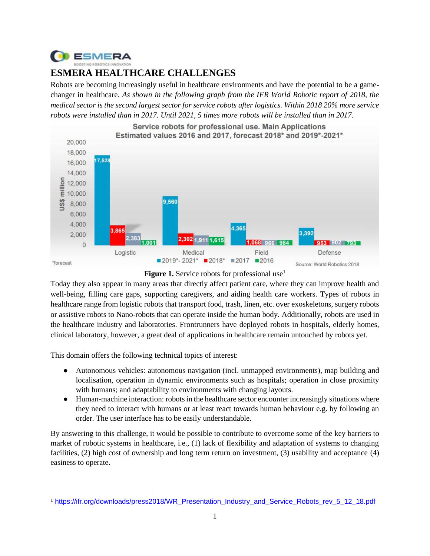

# **ESMERA HEALTHCARE CHALLENGES**

Robots are becoming increasingly useful in healthcare environments and have the potential to be a gamechanger in healthcare. *As shown in the following graph from the IFR World Robotic report of 2018, the medical sector is the second largest sector for service robots after logistics. Within 2018 20% more service robots were installed than in 2017. Until 2021, 5 times more robots will be installed than in 2017.* 





Today they also appear in many areas that directly affect patient care, where they can improve health and well-being, filling care gaps, supporting caregivers, and aiding health care workers. Types of robots in healthcare range from logistic robots that transport food, trash, linen, etc. over exoskeletons, surgery robots or assistive robots to Nano-robots that can operate inside the human body. Additionally, robots are used in the healthcare industry and laboratories. Frontrunners have deployed robots in hospitals, elderly homes, clinical laboratory, however, a great deal of applications in healthcare remain untouched by robots yet.

This domain offers the following technical topics of interest:

- Autonomous vehicles: autonomous navigation (incl. unmapped environments), map building and localisation, operation in dynamic environments such as hospitals; operation in close proximity with humans; and adaptability to environments with changing layouts.
- Human-machine interaction: robots in the healthcare sector encounter increasingly situations where they need to interact with humans or at least react towards human behaviour e.g. by following an order. The user interface has to be easily understandable*.*

By answering to this challenge, it would be possible to contribute to overcome some of the key barriers to market of robotic systems in healthcare, i.e., (1) lack of flexibility and adaptation of systems to changing facilities, (2) high cost of ownership and long term return on investment, (3) usability and acceptance (4) easiness to operate.

<sup>1</sup> [https://ifr.org/downloads/press2018/WR\\_Presentation\\_Industry\\_and\\_Service\\_Robots\\_rev\\_5\\_12\\_18.pdf](https://ifr.org/downloads/press2018/WR_Presentation_Industry_and_Service_Robots_rev_5_12_18.pdf)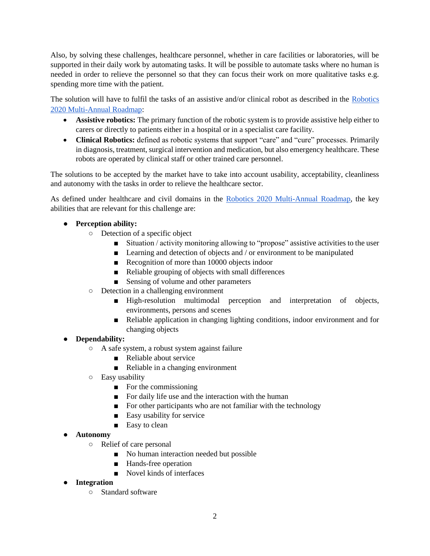Also, by solving these challenges, healthcare personnel, whether in care facilities or laboratories, will be supported in their daily work by automating tasks. It will be possible to automate tasks where no human is needed in order to relieve the personnel so that they can focus their work on more qualitative tasks e.g. spending more time with the patient.

The solution will have to fulfil the tasks of an assistive and/or clinical robot as described in the [Robotics](https://www.eu-robotics.net/cms/upload/topic_groups/H2020_Robotics_Multi-Annual_Roadmap_ICT-2017B.pdf)  [2020 Multi-Annual Roadmap:](https://www.eu-robotics.net/cms/upload/topic_groups/H2020_Robotics_Multi-Annual_Roadmap_ICT-2017B.pdf)

- **Assistive robotics:** The primary function of the robotic system is to provide assistive help either to carers or directly to patients either in a hospital or in a specialist care facility.
- **Clinical Robotics:** defined as robotic systems that support "care" and "cure" processes. Primarily in diagnosis, treatment, surgical intervention and medication, but also emergency healthcare. These robots are operated by clinical staff or other trained care personnel.

The solutions to be accepted by the market have to take into account usability, acceptability, cleanliness and autonomy with the tasks in order to relieve the healthcare sector.

As defined under healthcare and civil domains in the [Robotics 2020 Multi-Annual Roadmap,](https://www.eu-robotics.net/cms/upload/topic_groups/H2020_Robotics_Multi-Annual_Roadmap_ICT-2017B.pdf) the key abilities that are relevant for this challenge are:

## ● **Perception ability:**

- Detection of a specific object
	- Situation / activity monitoring allowing to "propose" assistive activities to the user
	- Learning and detection of objects and / or environment to be manipulated
	- Recognition of more than 10000 objects indoor
	- Reliable grouping of objects with small differences
	- Sensing of volume and other parameters
- Detection in a challenging environment
	- High-resolution multimodal perception and interpretation of objects, environments, persons and scenes
	- Reliable application in changing lighting conditions, indoor environment and for changing objects

## ● **Dependability:**

- A safe system, a robust system against failure
	- Reliable about service
	- Reliable in a changing environment
- Easy usability
	- For the commissioning
	- For daily life use and the interaction with the human
	- For other participants who are not familiar with the technology
	- Easy usability for service
	- Easy to clean

## ● **Autonomy**

- Relief of care personal
	- No human interaction needed but possible
	- Hands-free operation
	- Novel kinds of interfaces

## ● **Integration**

○ Standard software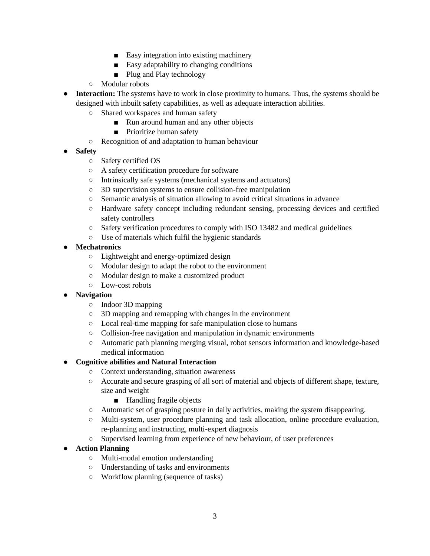- Easy integration into existing machinery
- Easy adaptability to changing conditions
- Plug and Play technology
- Modular robots
- **Interaction:** The systems have to work in close proximity to humans. Thus, the systems should be designed with inbuilt safety capabilities, as well as adequate interaction abilities.
	- Shared workspaces and human safety
		- Run around human and any other objects
		- Prioritize human safety
	- Recognition of and adaptation to human behaviour
- **Safety**
	- Safety certified OS
	- A safety certification procedure for software
	- Intrinsically safe systems (mechanical systems and actuators)
	- 3D supervision systems to ensure collision-free manipulation
	- Semantic analysis of situation allowing to avoid critical situations in advance
	- Hardware safety concept including redundant sensing, processing devices and certified safety controllers
	- Safety verification procedures to comply with ISO 13482 and medical guidelines
	- Use of materials which fulfil the hygienic standards

### ● **Mechatronics**

- Lightweight and energy-optimized design
- Modular design to adapt the robot to the environment
- Modular design to make a customized product
- Low-cost robots

#### ● **Navigation**

- Indoor 3D mapping
- 3D mapping and remapping with changes in the environment
- Local real-time mapping for safe manipulation close to humans
- Collision-free navigation and manipulation in dynamic environments
- Automatic path planning merging visual, robot sensors information and knowledge-based medical information

## ● **Cognitive abilities and Natural Interaction**

- Context understanding, situation awareness
- Accurate and secure grasping of all sort of material and objects of different shape, texture, size and weight
	- Handling fragile objects
- Automatic set of grasping posture in daily activities, making the system disappearing.
- Multi-system, user procedure planning and task allocation, online procedure evaluation, re-planning and instructing, multi-expert diagnosis
- Supervised learning from experience of new behaviour, of user preferences

## ● **Action Planning**

- Multi-modal emotion understanding
- Understanding of tasks and environments
- Workflow planning (sequence of tasks)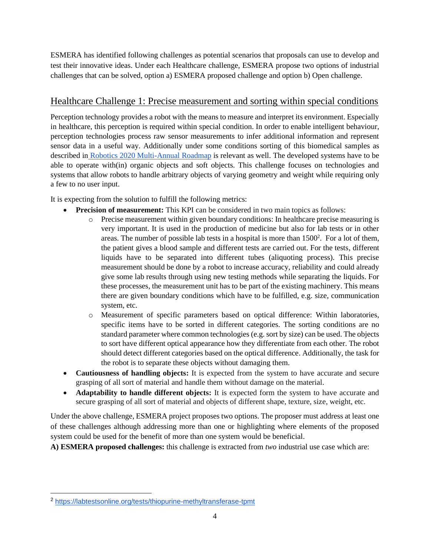ESMERA has identified following challenges as potential scenarios that proposals can use to develop and test their innovative ideas. Under each Healthcare challenge, ESMERA propose two options of industrial challenges that can be solved, option a) ESMERA proposed challenge and option b) Open challenge.

## Healthcare Challenge 1: Precise measurement and sorting within special conditions

Perception technology provides a robot with the means to measure and interpret its environment. Especially in healthcare, this perception is required within special condition. In order to enable intelligent behaviour, perception technologies process raw sensor measurements to infer additional information and represent sensor data in a useful way. Additionally under some conditions sorting of this biomedical samples as described in [Robotics 2020 Multi-Annual Roadmap](https://www.eu-robotics.net/cms/upload/topic_groups/H2020_Robotics_Multi-Annual_Roadmap_ICT-2017B.pdf) is relevant as well. The developed systems have to be able to operate with(in) organic objects and soft objects. This challenge focuses on technologies and systems that allow robots to handle arbitrary objects of varying geometry and weight while requiring only a few to no user input.

It is expecting from the solution to fulfill the following metrics:

- **Precision of measurement:** This KPI can be considered in two main topics as follows:
	- o Precise measurement within given boundary conditions: In healthcare precise measuring is very important. It is used in the production of medicine but also for lab tests or in other areas. The number of possible lab tests in a hospital is more than  $1500<sup>2</sup>$ . For a lot of them, the patient gives a blood sample and different tests are carried out. For the tests, different liquids have to be separated into different tubes (aliquoting process). This precise measurement should be done by a robot to increase accuracy, reliability and could already give some lab results through using new testing methods while separating the liquids. For these processes, the measurement unit has to be part of the existing machinery. This means there are given boundary conditions which have to be fulfilled, e.g. size, communication system, etc.
	- o Measurement of specific parameters based on optical difference: Within laboratories, specific items have to be sorted in different categories. The sorting conditions are no standard parameter where common technologies (e.g. sort by size) can be used. The objects to sort have different optical appearance how they differentiate from each other. The robot should detect different categories based on the optical difference. Additionally, the task for the robot is to separate these objects without damaging them.
- **Cautiousness of handling objects:** It is expected from the system to have accurate and secure grasping of all sort of material and handle them without damage on the material.
- **Adaptability to handle different objects:** It is expected form the system to have accurate and secure grasping of all sort of material and objects of different shape, texture, size, weight, etc.

Under the above challenge, ESMERA project proposes two options. The proposer must address at least one of these challenges although addressing more than one or highlighting where elements of the proposed system could be used for the benefit of more than one system would be beneficial.

**A) ESMERA proposed challenges:** this challenge is extracted from *two* industrial use case which are:

<sup>2</sup> <https://labtestsonline.org/tests/thiopurine-methyltransferase-tpmt>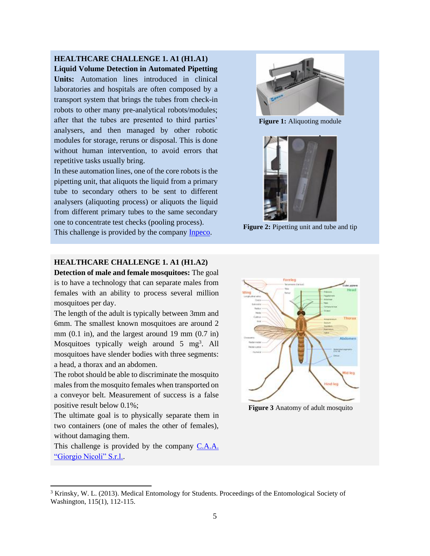#### **HEALTHCARE CHALLENGE 1. A1 (H1.A1)**

**Liquid Volume Detection in Automated Pipetting Units:** Automation lines introduced in clinical laboratories and hospitals are often composed by a transport system that brings the tubes from check-in robots to other many pre-analytical robots/modules; after that the tubes are presented to third parties' analysers, and then managed by other robotic modules for storage, reruns or disposal. This is done without human intervention, to avoid errors that repetitive tasks usually bring.

In these automation lines, one of the core robots is the pipetting unit, that aliquots the liquid from a primary tube to secondary others to be sent to different analysers (aliquoting process) or aliquots the liquid from different primary tubes to the same secondary one to concentrate test checks (pooling process).

This challenge is provided by the company [Inpeco.](https://www.inpeco.com/en/)

### **HEALTHCARE CHALLENGE 1. A1 (H1.A2)**

**Detection of male and female mosquitoes:** The goal is to have a technology that can separate males from females with an ability to process several million mosquitoes per day.

The length of the adult is typically between 3mm and 6mm. The smallest known mosquitoes are around 2 mm  $(0.1 \text{ in})$ , and the largest around 19 mm  $(0.7 \text{ in})$ Mosquitoes typically weigh around 5 mg<sup>3</sup>. All mosquitoes have slender bodies with three segments: a head, a thorax and an abdomen.

The robot should be able to discriminate the mosquito males from the mosquito females when transported on a conveyor belt. Measurement of success is a false positive result below 0.1%;

The ultimate goal is to physically separate them in two containers (one of males the other of females), without damaging them.



**Figure 1:** Aliquoting module



**Figure 2:** Pipetting unit and tube and tip



**Figure 3** Anatomy of adult mosquito

This challenge is provided by the company C.A.A. ["Giorgio Nicoli" S.r.l..](https://www.caa.it/en)

<sup>3</sup> Krinsky, W. L. (2013). Medical Entomology for Students. Proceedings of the Entomological Society of Washington, 115(1), 112-115.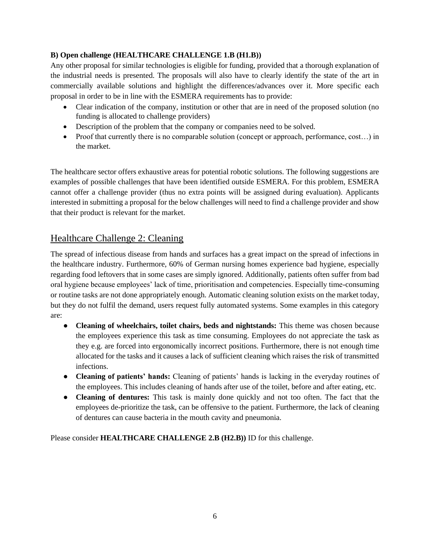## **B) Open challenge (HEALTHCARE CHALLENGE 1.B (H1.B))**

Any other proposal for similar technologies is eligible for funding, provided that a thorough explanation of the industrial needs is presented. The proposals will also have to clearly identify the state of the art in commercially available solutions and highlight the differences/advances over it. More specific each proposal in order to be in line with the ESMERA requirements has to provide:

- Clear indication of the company, institution or other that are in need of the proposed solution (no funding is allocated to challenge providers)
- Description of the problem that the company or companies need to be solved.
- Proof that currently there is no comparable solution (concept or approach, performance, cost...) in the market.

The healthcare sector offers exhaustive areas for potential robotic solutions. The following suggestions are examples of possible challenges that have been identified outside ESMERA. For this problem, ESMERA cannot offer a challenge provider (thus no extra points will be assigned during evaluation). Applicants interested in submitting a proposal for the below challenges will need to find a challenge provider and show that their product is relevant for the market.

## Healthcare Challenge 2: Cleaning

The spread of infectious disease from hands and surfaces has a great impact on the spread of infections in the healthcare industry. Furthermore, 60% of German nursing homes experience bad hygiene, especially regarding food leftovers that in some cases are simply ignored. Additionally, patients often suffer from bad oral hygiene because employees' lack of time, prioritisation and competencies. Especially time-consuming or routine tasks are not done appropriately enough. Automatic cleaning solution exists on the market today, but they do not fulfil the demand, users request fully automated systems. Some examples in this category are:

- **Cleaning of wheelchairs, toilet chairs, beds and nightstands:** This theme was chosen because the employees experience this task as time consuming. Employees do not appreciate the task as they e.g. are forced into ergonomically incorrect positions. Furthermore, there is not enough time allocated for the tasks and it causes a lack of sufficient cleaning which raises the risk of transmitted infections.
- **Cleaning of patients' hands:** Cleaning of patients' hands is lacking in the everyday routines of the employees. This includes cleaning of hands after use of the toilet, before and after eating, etc.
- **Cleaning of dentures:** This task is mainly done quickly and not too often. The fact that the employees de-prioritize the task, can be offensive to the patient. Furthermore, the lack of cleaning of dentures can cause bacteria in the mouth cavity and pneumonia.

Please consider **HEALTHCARE CHALLENGE 2.B (H2.B))** ID for this challenge.